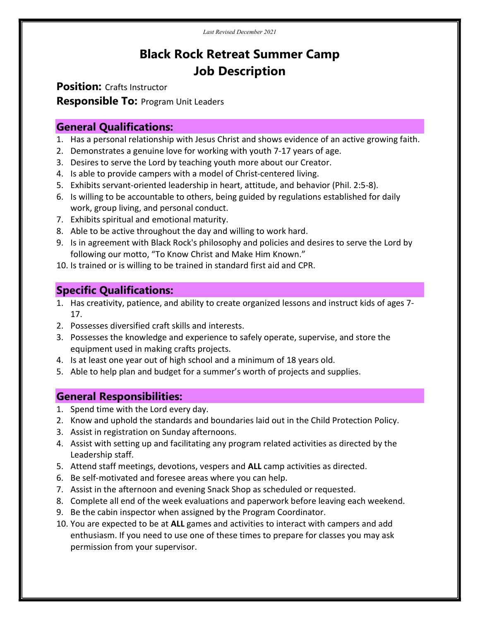# Black Rock Retreat Summer Camp Job Description

**Position: Crafts Instructor** 

**Responsible To: Program Unit Leaders** 

#### General Qualifications:

- 1. Has a personal relationship with Jesus Christ and shows evidence of an active growing faith.
- 2. Demonstrates a genuine love for working with youth 7-17 years of age.
- 3. Desires to serve the Lord by teaching youth more about our Creator.
- 4. Is able to provide campers with a model of Christ-centered living.
- 5. Exhibits servant-oriented leadership in heart, attitude, and behavior (Phil. 2:5-8).
- 6. Is willing to be accountable to others, being guided by regulations established for daily work, group living, and personal conduct.
- 7. Exhibits spiritual and emotional maturity.
- 8. Able to be active throughout the day and willing to work hard.
- 9. Is in agreement with Black Rock's philosophy and policies and desires to serve the Lord by following our motto, "To Know Christ and Make Him Known."
- 10. Is trained or is willing to be trained in standard first aid and CPR.

## Specific Qualifications:

- 1. Has creativity, patience, and ability to create organized lessons and instruct kids of ages 7- 17.
- 2. Possesses diversified craft skills and interests.
- 3. Possesses the knowledge and experience to safely operate, supervise, and store the equipment used in making crafts projects.
- 4. Is at least one year out of high school and a minimum of 18 years old.
- 5. Able to help plan and budget for a summer's worth of projects and supplies.

### General Responsibilities:

- 1. Spend time with the Lord every day.
- 2. Know and uphold the standards and boundaries laid out in the Child Protection Policy.
- 3. Assist in registration on Sunday afternoons.
- 4. Assist with setting up and facilitating any program related activities as directed by the Leadership staff.
- 5. Attend staff meetings, devotions, vespers and ALL camp activities as directed.
- 6. Be self-motivated and foresee areas where you can help.
- 7. Assist in the afternoon and evening Snack Shop as scheduled or requested.
- 8. Complete all end of the week evaluations and paperwork before leaving each weekend.
- 9. Be the cabin inspector when assigned by the Program Coordinator.
- 10. You are expected to be at ALL games and activities to interact with campers and add enthusiasm. If you need to use one of these times to prepare for classes you may ask permission from your supervisor.